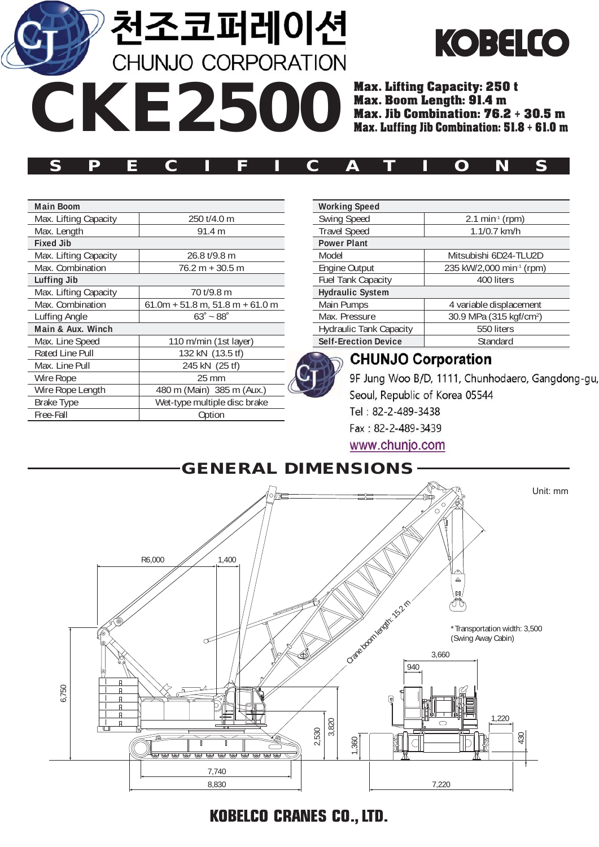**천조코퍼레이션**<br>CHUNJO CORPORATION

**CKE2500**



Max. Lifting Capacity: 250 t **Max. Jib Combination: 76.2 + 30.5 m**<br>Max. Luffing Jib Combination: 51.8 + 61.0 m Max. Luffing Jib Combination: 51.8 **<sup>+</sup>** 61.0 m

| SPECIFICATIONS |  |  |  |  |  |  |  |  |  |  |  |  |  |  |
|----------------|--|--|--|--|--|--|--|--|--|--|--|--|--|--|
|----------------|--|--|--|--|--|--|--|--|--|--|--|--|--|--|

| <b>Main Boom</b>      |                                    |
|-----------------------|------------------------------------|
| Max. Lifting Capacity | 250 t/4.0 m                        |
| Max. Length           | 91.4 m                             |
| <b>Fixed Jib</b>      |                                    |
| Max. Lifting Capacity | 26.8 t/9.8 m                       |
| Max. Combination      | 76.2 m + 30.5 m                    |
| <b>Luffing Jib</b>    |                                    |
| Max. Lifting Capacity | 70 t/9.8 m                         |
| Max. Combination      | $61.0m + 51.8 m$ , 51.8 m + 61.0 m |
| Luffing Angle         | $63^\circ - 88^\circ$              |
| Main & Aux. Winch     |                                    |
| Max. Line Speed       | 110 m/min (1st layer)              |
| Rated Line Pull       | 132 kN (13.5 tf)                   |
| Max. Line Pull        | 245 kN (25 tf)                     |
| Wire Rope             | $25 \text{ mm}$                    |
| Wire Rope Length      | 480 m (Main) 385 m (Aux.)          |
| Brake Type            | Wet-type multiple disc brake       |
| Free-Fall             | Option                             |

| <b>Working Speed</b>           |                                      |
|--------------------------------|--------------------------------------|
| <b>Swing Speed</b>             | $2.1 \text{ min}^{1} \text{ (rpm)}$  |
| <b>Travel Speed</b>            | $1.1/0.7$ km/h                       |
| <b>Power Plant</b>             |                                      |
| Model                          | Mitsubishi 6D24-TLU2D                |
| Engine Output                  | 235 kW/2,000 min <sup>-1</sup> (rpm) |
| <b>Fuel Tank Capacity</b>      | 400 liters                           |
| <b>Hydraulic System</b>        |                                      |
| Main Pumps                     | 4 variable displacement              |
| Max. Pressure                  | 30.9 MPa (315 kgf/cm <sup>2</sup> )  |
| <b>Hydraulic Tank Capacity</b> | 550 liters                           |
| <b>Self-Erection Device</b>    | Standard                             |

### **Weight CHUNJO Corporation**

9F Jung Woo B/D, 1111, Chunhodaero, Gangdong-gu,  $S_{\text{coul}}$  Republic of Kerea 05544  $G$ round  $G$  (1.97 kg/cm2) Fax: 82-2-489-3439 www.chunjo.com



**KOBELCO CRANES CO., LTD.**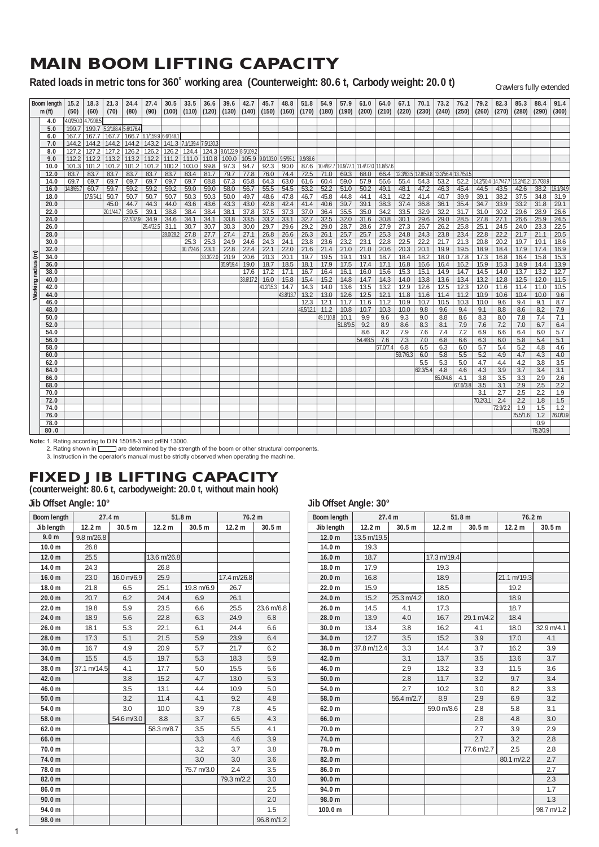## **MAIN BOOM LIFTING CAPACITY**

**Rated loads in metric tons for 360˚ working area (Counterweight: 80.6 t, Carbody weight: 20.0 t)**

Crawlers fully extended

|            | Boom length  | 15.2      | 18.3      | 21.3                | 24.4      | 27.4               | 30.5      | 33.5            | 36.6      | 39.6                | 42.7            | 45.7      | 48.8      | 51.8              | 54.9         | 57.9         | 61.0        | 64.0        | 67.1       | 70.1       | 73.2                | 76.2       | 79.2       | 82.3       | 85.3       | 88.4       | 91.4       |
|------------|--------------|-----------|-----------|---------------------|-----------|--------------------|-----------|-----------------|-----------|---------------------|-----------------|-----------|-----------|-------------------|--------------|--------------|-------------|-------------|------------|------------|---------------------|------------|------------|------------|------------|------------|------------|
|            | m(f)         | (50)      | (60)      | (70)                | (80)      | (90)               | (100)     | (110)           | (120)     | (130)               | (140)           | (150)     | (160)     | (170)             | (180)        | (190)        | (200)       | (210)       | (220)      | (230)      | (240)               | (250)      | (260)      | (270)      | (280)      | (290)      | (300)      |
|            | 4.0          | 4.0/250.0 | 4.7/208.5 |                     |           |                    |           |                 |           |                     |                 |           |           |                   |              |              |             |             |            |            |                     |            |            |            |            |            |            |
|            | 5.0          | 199.7     | 199.7     | 5.2/188.4 5.6/176.4 |           |                    |           |                 |           |                     |                 |           |           |                   |              |              |             |             |            |            |                     |            |            |            |            |            |            |
|            | 6.0          | 167.7     | 167.7     | 167.7               | 166.7     | 6.1/159.9 6.6/148. |           |                 |           |                     |                 |           |           |                   |              |              |             |             |            |            |                     |            |            |            |            |            |            |
|            | 7.0          | 144.2     | 144.2     | 144.2               | 144.2     | 143.2              |           | 141.3 7.1/139.4 | 7.5/130.3 |                     |                 |           |           |                   |              |              |             |             |            |            |                     |            |            |            |            |            |            |
|            | 8.0          | 127.2     | 127.2     | 127.2               | 126.2     | 126.2              | 126.2     | 124.4           | 124.3     | 8.0/122.9 8.5/109.2 |                 |           |           |                   |              |              |             |             |            |            |                     |            |            |            |            |            |            |
|            | 9.0          | 112.2     | 112.2     | 113.2               | 113.2     | 112.2              | 111.2     | 111.0           | 110.8     | 109.0               | 105.9 9.0/103.0 |           | 9.5/95.   | 9.9/88.6          |              |              |             |             |            |            |                     |            |            |            |            |            |            |
|            | 10.0         | 101.3     | 101.2     | 101.2               | 101.2     | 101.2              | 100.2     | 100.0           | 99.8      | 97.3                | 94.7            | 92.3      | 90.0      | 87.6              | 10.4/82.7    | 10.9/77.1    | 11.4/72.0   | $11.8/67$ . |            |            |                     |            |            |            |            |            |            |
|            | 12.0         | 83.7      | 83.7      | 83.7                | 83.7      | 83.7               | 83.7      | 83.4            | 81.7      | 79.7                | 77.8            | 76.0      | 74.4      | 72.5              | 71.0         | 69.3         | 68.0        | 66.4        | 12.3/63.5  |            | 12.8/59.8 13.3/56.4 | 13.7/53.5  |            |            |            |            |            |
|            | 14.0         | 69.7      | 69.7      | 69.7                | 69.7      | 69.7               | 69.7      | 69.7            | 68.8      | 67.3                | 65.8            | 64.3      | 63.0      | 61.6              | 60.4         | 59.0         | 57.9        | 56.6        | 55.4       | 54.3       | 53.2                | 52.2       | 14.2/50.4  | 14.7/47.7  | 15.2/45.2  | 15.7/38.9  |            |
|            | 16.0         | 14.8/65.7 | 60.7      | 59.7                | 59.2      | 59.2               | 59.2      | 59.0            | 59.0      | 58.0                | 56.7            | 55.5      | 54.5      | 53.2              | 52.2         | 51.0         | 50.2        | 49.1        | 48.1       | 47.2       | 46.3                | 45.4       | 44.5       | 43.5       | 42.6       | 38.2       | 16.1/34.9  |
|            | 18.0         |           | 17.5/54.1 | 50.7                | 50.7      | 50.7               | 50.7      | 50.3            | 50.3      | 50.0                | 49.7            | 48.6      | 47.8      | 46.7              | 45.8         | 44.8         | 44.1        | 43.1        | 42.2       | 41.4       | 40.7                | 39.9       | 39.1       | 38.2       | 37.5       | 34.8       | 31.9       |
|            | 20.0         |           |           | 45.0                | 44.7      | 44.3               | 44.0      | 43.6            | 43.6      | 43.3                | 43.0            | 42.8      | 42.4      | 41.4              | 40.6         | 39.7         | 39.1        | 38.3        | 37.4       | 36.8       | 36.1                | 35.4       | 34.7       | 33.9       | 33.2       | 31.8       | 29.1       |
|            | 22.0         |           |           | 20.1/44.7           | 39.5      | 39.1               | 38.8      | 38.4            | 38.4      | 38.1                | 37.8            | 37.5      | 37.3      | 37.0              | 36.4         | 35.5         | 35.0        | 34.2        | 33.5       | 32.9       | 32.2                | 31.7       | 31.0       | 30.2       | 29.6       | 28.9       | 26.6       |
|            | 24.0         |           |           |                     | 22.7/37.9 | 34.9               | 34.6      | 34.1            | 34.1      | 33.8                | 33.5            | 33.2      | 33.1      | 32.7              | 32.5         | 32.0         | 31.6        | 30.8        | 30.1       | 29.6       | 29.0                | 28.5       | 27.8       | 27.1       | 26.6       | 25.9       | 24.5       |
|            | 26.0         |           |           |                     |           | 25.4/32.5          | 31.1      | 30.7            | 30.7      | 30.3                | 30.0            | 29.7      | 29.6      | 29.2              | 29.0         | 28.7         | 28.6        | 27.9        | 27.3       | 26.7       | 26.2                | 25.8       | 25.1       | 24.5       | 24.0       | 23.3       | 22.5       |
|            | 28.0         |           |           |                     |           |                    | 28.0/28.2 | 27.8            | 27.7      | 27.4                | 27.1            | 26.8      | 26.6      | 26.3              | 26.1         | 25.7         | 25.7        | 25.3        | 24.8       | 24.3       | 23.8                | 23.4       | 22.8       | 22.2       | 21.7       | 21.1       | 20.5       |
|            | 30.0         |           |           |                     |           |                    |           | 25.3            | 25.3      | 24.9                | 24.6            | 24.3      | 24.1      | 23.8              | 23.6         | 23.2         | 23.1        | 22.8        | 22.5       | 22.2       | 21.7                | 21.3       | 20.8       | 20.2       | 19.7       | 19.1       | 18.6       |
|            | 32.0         |           |           |                     |           |                    |           | 30.7/24.6       | 23.1      | 22.8                | 22.4            | 22.1      | 22.0      | 21.6              | 21.4         | 21.0         | 21.0        | 20.6        | 20.3       | 20.1       | 19.9                | 19.5       | 18.9       | 18.4       | 17.9       | 17.4       | 16.9       |
| radius (m) | 34.0         |           |           |                     |           |                    |           |                 | 33.3/22.0 | 20.9                | 20.6            | 20.3      | 20.1      | 19.7              | 19.5         | 19.1         | 19.1        | 18.7        | 18.4       | 18.2       | 18.0                | 17.8       | 17.3       | 16.8       | 16.4       | 15.8       | 15.3       |
|            | 36.0         |           |           |                     |           |                    |           |                 |           | 35.9/19.4           | 19.0            | 18.7      | 18.5      | 18.1              | 17.9         | 17.5         | 17.4        | 17.1        | 16.8       | 16.6       | 16.4                | 16.2       | 15.9       | 15.3       | 14.9       | 14.4       | 13.9       |
|            | 38.0         |           |           |                     |           |                    |           |                 |           |                     | 17.6            | 17.2      | 17.1      | 16.7              | 16.4         | 16.1         | 16.0        | 15.6        | 15.3       | 15.1       | 14.9                | 14.7       | 14.5       | 14.0       | 13.7       | 13.2       | 12.7       |
|            | 40.0         |           |           |                     |           |                    |           |                 |           |                     | 38.6/17.2       | 16.0      | 15.8      | 15.4              | 15.2         | 14.8         | 14.7        | 14.3        | 14.0       | 13.8       | 13.6                | 13.4       | 13.2       | 12.8       | 12.5       | 12.0       | 11.5       |
| Working    | 42.0         |           |           |                     |           |                    |           |                 |           |                     |                 | 41.2/15.3 | 14.7      | 14.3              | 14.0         | 13.6         | 13.5        | 13.2        | 12.9       | 12.6       | 12.5                | 12.3       | 12.0       | 11.6       | 11.4       | 11.0       | 10.5       |
|            | 44.0         |           |           |                     |           |                    |           |                 |           |                     |                 |           | 43.8/13.7 | 13.2              | 13.0         | 12.6         | 12.5        | 12.1        | 11.8       | 11.6       | 11.4                | 11.2       | 10.9       | 10.6       | 10.4       | 10.0       | 9.6        |
|            | 46.0<br>48.0 |           |           |                     |           |                    |           |                 |           |                     |                 |           |           | 12.3<br>46.5/12.7 | 12.1<br>11.2 | 11.7         | 11.6        | 11.2        | 10.9       | 10.7       | 10.5<br>9.6         | 10.3       | 10.0       | 9.6<br>8.8 | 9.4        | 9.1        | 8.7        |
|            | 50.0         |           |           |                     |           |                    |           |                 |           |                     |                 |           |           |                   | 49.1/10.8    | 10.8<br>10.1 | 10.7<br>9.9 | 10.3<br>9.6 | 10.0       | 9.8<br>9.0 | 8.8                 | 9.4<br>8.6 | 9.1<br>8.3 | 8.0        | 8.6<br>7.8 | 8.2<br>7.4 | 7.9<br>7.1 |
|            | 52.0         |           |           |                     |           |                    |           |                 |           |                     |                 |           |           |                   |              | 51.8/9.5     | 9.2         | 8.9         | 9.3<br>8.6 | 8.3        | 8.1                 | 7.9        | 7.6        | 7.2        | 7.0        | 6.7        | 6.4        |
|            | 54.0         |           |           |                     |           |                    |           |                 |           |                     |                 |           |           |                   |              |              | 8.6         | 8.2         | 7.9        | 7.6        | 7.4                 | 7.2        | 6.9        | 6.6        | 6.4        | 6.0        | 5.7        |
|            | 56.0         |           |           |                     |           |                    |           |                 |           |                     |                 |           |           |                   |              |              | 54.4/8.5    | 7.6         | 7.3        | 7.0        | 6.8                 | 6.6        | 6.3        | 6.0        | 5.8        | 5.4        | 5.1        |
|            | 58.0         |           |           |                     |           |                    |           |                 |           |                     |                 |           |           |                   |              |              |             | 57.0/7.4    | 6.8        | 6.5        | 6.3                 | 6.0        | 5.7        | 5.4        | 5.2        | 4.8        | 4.6        |
|            | 60.0         |           |           |                     |           |                    |           |                 |           |                     |                 |           |           |                   |              |              |             |             | 59.7/6.3   | 6.0        | 5.8                 | 5.5        | 5.2        | 4.9        | 4.7        | 4.3        | 4.0        |
|            | 62.0         |           |           |                     |           |                    |           |                 |           |                     |                 |           |           |                   |              |              |             |             |            | 5.5        | 5.3                 | 5.0        | 4.7        | 4.4        | 4.2        | 3.8        | 3.5        |
|            | 64.0         |           |           |                     |           |                    |           |                 |           |                     |                 |           |           |                   |              |              |             |             |            | 62.3/5.    | 4.8                 | 4.6        | 4.3        | 3.9        | 3.7        | 3.4        | 3.1        |
|            | 66.0         |           |           |                     |           |                    |           |                 |           |                     |                 |           |           |                   |              |              |             |             |            |            | 65.0/4.6            | 4.1        | 3.8        | 3.5        | 3.3        | 2.9        | 2.6        |
|            | 68.0         |           |           |                     |           |                    |           |                 |           |                     |                 |           |           |                   |              |              |             |             |            |            |                     | 67.6/3.8   | 3.5        | 3.1        | 2.9        | 2.5        | 2.2        |
|            | 70.0         |           |           |                     |           |                    |           |                 |           |                     |                 |           |           |                   |              |              |             |             |            |            |                     |            | 3.1        | 2.7        | 2.5        | 2.2        | 1.9        |
|            | 72.0         |           |           |                     |           |                    |           |                 |           |                     |                 |           |           |                   |              |              |             |             |            |            |                     |            | 70.2/3.7   | 2.4        | 2.2        | 1.8        | 1.5        |
|            | 74.0         |           |           |                     |           |                    |           |                 |           |                     |                 |           |           |                   |              |              |             |             |            |            |                     |            |            | 72.9/2.2   | 1.9        | 1.5        | 1.2        |
|            | 76.0         |           |           |                     |           |                    |           |                 |           |                     |                 |           |           |                   |              |              |             |             |            |            |                     |            |            |            | 75.5/1.6   | 1.2        | 76.0/0.9   |
|            | 78.0         |           |           |                     |           |                    |           |                 |           |                     |                 |           |           |                   |              |              |             |             |            |            |                     |            |            |            |            | 0.9        |            |
|            | 80.0         |           |           |                     |           |                    |           |                 |           |                     |                 |           |           |                   |              |              |             |             |            |            |                     |            |            |            |            | 78.2/0.9   |            |
|            |              |           |           |                     |           |                    |           |                 |           |                     |                 |           |           |                   |              |              |             |             |            |            |                     |            |            |            |            |            |            |

Note: 1. Rating according to DIN 15018-3 and prEN 13000.<br>2. Rating shown in [◯ \_ are determined by the strength of the boom or other structural components.<br>3. Instruction in the operator's manual must be strictly observed

## **FIXED JIB LIFTING CAPACITY**

## **(counterweight: 80.6 t, carbodyweight: 20.0 t, without main hook)**

### **Jib Offset Angle: 10° Jib Offset Angle: 30°**

| Boom length       | 27.4 m            |            | 51.8 <sub>m</sub> |            | 76.2 m      |            |
|-------------------|-------------------|------------|-------------------|------------|-------------|------------|
| Jib length        | 12.2 <sub>m</sub> | 30.5 m     | 12.2 <sub>m</sub> | 30.5 m     | 12.2 m      | 30.5 m     |
| 9.0 <sub>m</sub>  | 9.8 m/26.8        |            |                   |            |             |            |
| 10.0 <sub>m</sub> | 26.8              |            |                   |            |             |            |
| 12.0 <sub>m</sub> | 25.5              |            | 13.6 m/26.8       |            |             |            |
| 14.0 m            | 24.3              |            | 26.8              |            |             |            |
| 16.0 <sub>m</sub> | 23.0              | 16.0 m/6.9 | 25.9              |            | 17.4 m/26.8 |            |
| 18.0 m            | 21.8              | 6.5        | 25.1              | 19.8 m/6.9 | 26.7        |            |
| 20.0 m            | 20.7              | 6.2        | 24.4              | 6.9        | 26.1        |            |
| 22.0 m            | 19.8              | 5.9        | 23.5              | 6.6        | 25.5        | 23.6 m/6.8 |
| 24.0 m            | 18.9              | 5.6        | 22.8              | 6.3        | 24.9        | 6.8        |
| 26.0 m            | 18.1              | 5.3        | 22.1              | 6.1        | 24.4        | 6.6        |
| 28.0 m            | 17.3              | 5.1        | 21.5              | 5.9        | 23.9        | 6.4        |
| 30.0 m            | 16.7              | 4.9        | 20.9              | 5.7        | 21.7        | 6.2        |
| 34.0 m            | 15.5              | 4.5        | 19.7              | 5.3        | 18.3        | 5.9        |
| 38.0 m            | 37.1 m/14.5       | 4.1        | 17.7              | 5.0        | 15.5        | 5.6        |
| 42.0 m            |                   | 3.8        | 15.2              | 4.7        | 13.0        | 5.3        |
| 46.0 m            |                   | 3.5        | 13.1              | 4.4        | 10.9        | 5.0        |
| 50.0 <sub>m</sub> |                   | 3.2        | 11.4              | 4.1        | 9.2         | 4.8        |
| 54.0 m            |                   | 3.0        | 10.0              | 3.9        | 7.8         | 4.5        |
| 58.0 m            |                   | 54.6 m/3.0 | 8.8               | 3.7        | 6.5         | 4.3        |
| 62.0 <sub>m</sub> |                   |            | 58.3 m/8.7        | 3.5        | 5.5         | 4.1        |
| 66.0 m            |                   |            |                   | 3.3        | 4.6         | 3.9        |
| 70.0 m            |                   |            |                   | 3.2        | 3.7         | 3.8        |
| 74.0 m            |                   |            |                   | 3.0        | 3.0         | 3.6        |
| 78.0 m            |                   |            |                   | 75.7 m/3.0 | 2.4         | 3.5        |
| 82.0 m            |                   |            |                   |            | 79.3 m/2.2  | 3.0        |
| 86.0 m            |                   |            |                   |            |             | 2.5        |
| 90.0 m            |                   |            |                   |            |             | 2.0        |
| 94.0 m            |                   |            |                   |            |             | 1.5        |
| 98.0 m            |                   |            |                   |            |             | 96.8 m/1.2 |

| Boom length       | ັ<br>27.4 m       |            | 51.8 m            |            | 76.2 m            |            |
|-------------------|-------------------|------------|-------------------|------------|-------------------|------------|
| Jib length        | 12.2 <sub>m</sub> | 30.5 m     | 12.2 <sub>m</sub> | 30.5 m     | 12.2 <sub>m</sub> | 30.5 m     |
| 12.0 <sub>m</sub> | 13.5 m/19.5       |            |                   |            |                   |            |
| 14.0 <sub>m</sub> | 19.3              |            |                   |            |                   |            |
| 16.0 <sub>m</sub> | 18.7              |            | 17.3 m/19.4       |            |                   |            |
| 18.0 <sub>m</sub> | 17.9              |            | 19.3              |            |                   |            |
| 20.0 <sub>m</sub> | 16.8              |            | 18.9              |            | 21.1 m/19.3       |            |
| 22.0 m            | 15.9              |            | 18.5              |            | 19.2              |            |
| 24.0 m            | 15.2              | 25.3 m/4.2 | 18.0              |            | 18.9              |            |
| 26.0 <sub>m</sub> | 14.5              | 4.1        | 17.3              |            | 18.7              |            |
| 28.0 m            | 13.9              | 4.0        | 16.7              | 29.1 m/4.2 | 18.4              |            |
| 30.0 <sub>m</sub> | 13.4              | 3.8        | 16.2              | 4.1        | 18.0              | 32.9 m/4.1 |
| 34.0 m            | 12.7              | 3.5        | 15.2              | 3.9        | 17.0              | 4.1        |
| 38.0 m            | 37.8 m/12.4       | 3.3        | 14.4              | 3.7        | 16.2              | 3.9        |
| 42.0 m            |                   | 3.1        | 13.7              | 3.5        | 13.6              | 3.7        |
| 46.0 m            |                   | 2.9        | 13.2              | 3.3        | 11.5              | 3.6        |
| 50.0 <sub>m</sub> |                   | 2.8        | 11.7              | 3.2        | 9.7               | 3.4        |
| 54.0 m            |                   | 2.7        | 10.2              | 3.0        | 8.2               | 3.3        |
| 58.0 m            |                   | 56.4 m/2.7 | 8.9               | 2.9        | 6.9               | 3.2        |
| 62.0 <sub>m</sub> |                   |            | 59.0 m/8.6        | 2.8        | 5.8               | 3.1        |
| 66.0 m            |                   |            |                   | 2.8        | 4.8               | 3.0        |
| 70.0 m            |                   |            |                   | 2.7        | 3.9               | 2.9        |
| 74.0 m            |                   |            |                   | 2.7        | 3.2               | 2.8        |
| 78.0 m            |                   |            |                   | 77.6 m/2.7 | 2.5               | 2.8        |
| 82.0 m            |                   |            |                   |            | 80.1 m/2.2        | 2.7        |
| 86.0 m            |                   |            |                   |            |                   | 2.7        |
| 90.0 m            |                   |            |                   |            |                   | 2.3        |
| 94.0 m            |                   |            |                   |            |                   | 1.7        |
| 98.0 m            |                   |            |                   |            |                   | 1.3        |
| 100.0 m           |                   |            |                   |            |                   | 98.7 m/1.2 |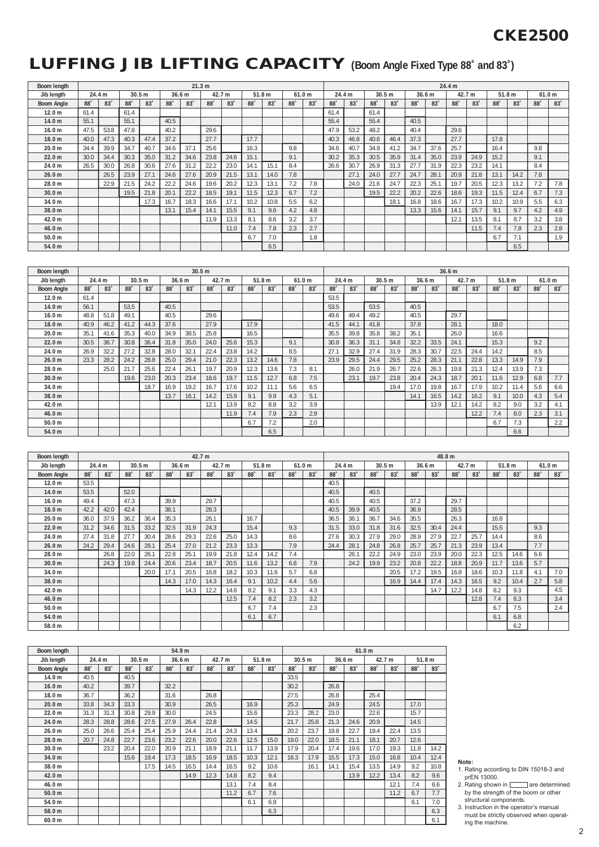## **CKE2500**

# **LUFFING JIB LIFTING CAPACITY (Boom Angle Fixed Type 88˚ and 83˚)**

| Boom length       |            |                 |                   |                   |      | 21.3 m     |                   |            |                   |                 |     |                   |            |                 |              |                 |            |            | 24.4 m |                 |                 |                   |            |                   |
|-------------------|------------|-----------------|-------------------|-------------------|------|------------|-------------------|------------|-------------------|-----------------|-----|-------------------|------------|-----------------|--------------|-----------------|------------|------------|--------|-----------------|-----------------|-------------------|------------|-------------------|
| Jib lenath        | 24.4 m     |                 |                   | 30.5 <sub>m</sub> |      | 36.6 m     |                   | 42.7 m     | 51.8 <sub>m</sub> |                 |     | 61.0 <sub>m</sub> | 24.4 m     |                 |              | 30.5 m          |            | 36.6 m     |        | 42.7 m          |                 | 51.8 <sub>m</sub> |            | 61.0 <sub>m</sub> |
| <b>Boom Angle</b> | $88^\circ$ | 83 <sup>°</sup> | $88^\circ$        | 83 <sup>°</sup>   | 88°  | 83         | $88^\circ$        | $83^\circ$ | 88                | 83 <sup>°</sup> | 88  | 83 <sup>°</sup>   | $88^\circ$ | 83 <sup>°</sup> | $88^\circ$   | 83 <sup>°</sup> | $88^\circ$ | $83^\circ$ | 88     | 83 <sup>°</sup> | 88°             | $83^\circ$        | $88^\circ$ | 83 <sup>°</sup>   |
| 12.0 <sub>m</sub> | 61.4       |                 | 61.4              |                   |      |            |                   |            |                   |                 |     |                   | 61.4       |                 | 61.4         |                 |            |            |        |                 |                 |                   |            |                   |
| 14.0 <sub>m</sub> | 55.1       |                 | 55.1              |                   | 40.5 |            |                   |            |                   |                 |     |                   | 55.4       |                 | 55.4         |                 | 40.5       |            |        |                 |                 |                   |            |                   |
| 16.0 <sub>m</sub> | 47.5       | 53.8            | 47.8              |                   | 40.2 |            | 29.6              |            |                   |                 |     |                   | 47.9       | 53.2            | 48.2         |                 | 40.4       |            | 29.6   |                 |                 |                   |            |                   |
| 18.0 <sub>m</sub> | 40.0       | 47.3            | 40.3              | 47.4              | 37.2 |            | 27.7              |            | 17.7              |                 |     |                   | 40.3       | 46.8            | 40.6         | 46.4            | 37.3       |            | 27.7   |                 | 17.8            |                   |            |                   |
| 20.0 <sub>m</sub> | 34.4       | 39.9            | 34.7              | 40.7              | 34.6 | 37.1       | 25.6              |            | 16.3              |                 | 9.8 |                   | 34.6       | 40.7            | 34.9         | 41.2            | 34.7       | 37.6       | 25.7   |                 | 16.4            |                   | 9.8        |                   |
| 22.0 <sub>m</sub> | 30.0       | 34.4            | 30.3              | 35.0              | 31.2 | 34.6       | 23.8              | 24.6       | 15.1              |                 | 9.1 |                   | 30.2       | 35.3            | 30.5         | 35.9            | 31.4       | 35.0       | 23.9   | 24.9            | 15.2            |                   | 9.1        |                   |
| 24.0 m            | 26.5       | 30.0            | 26.8              | 30.6              | 27.6 | 31.2       | 22.2              | 23.0       | 14.1              | 15.1            | 8.4 |                   | 26.6       | 30.7            | 26.9         | 31.3            | 27.7       | 31.9       | 22.3   | 23.2            | 14.1            |                   | 8.4        |                   |
| 26.0 <sub>m</sub> |            | 26.5            | 23.9              | 27.1              | 24.6 | 27.6       | 20.9              | 21.5       | 13.1              | 14.0            | 7.8 |                   |            | 27.1            | 24.0         | 27.7            | 24.7       | 28.1       | 20.9   | 21.8            | 13.1            | 14.2              | 7.8        |                   |
| 28.0 m            |            | 22.9            | 21.5              | 24.2              | 22.2 | 24.6       | 19.6              | 20.2       | 12.3              | 13.1            | 7.2 | 7.8               |            | 24.0            | 21.6         | 24.7            | 22.3       | 25.1       | 19.7   | 20.5            | 12.3            | 13.2              | 7.2        | 7.8               |
| 30.0 <sub>m</sub> |            |                 | 19.5              | 21.8              | 20.1 | 22.2       | 18.5              | 19.1       | 11.5              | 12.3            | 6.7 | 7.2               |            |                 | 19.5         | 22.2            | 20.2       | 22.6       | 18.6   | 19.3            | 11.5            | 12.4              | 6.7        | 7.3               |
| 34.0 m            |            |                 |                   | 17.3              | 16.7 | 18.3       | 16.6              | 17.1       | 10.2              | 10.8            | 5.5 | 6.2               |            |                 |              | 18.1            | 16.8       | 18.6       | 16.7   | 17.3            | 10.2            | 10.9              | 5.5        | 6.3               |
| 38.0 m            |            |                 |                   |                   | 13.1 | 15.4       | 14.1              | 15.5       | 9.1               | 9.6             | 4.2 | 4.8               |            |                 |              |                 | 13.3       | 15.6       | 14.1   | 15.7            | 9.1             | 9.7               | 4.2        | 4.9               |
| 42.0 m            |            |                 |                   |                   |      |            | 11.9              | 13.3       | 8.1               | 8.6             | 3.2 | 3.7               |            |                 |              |                 |            |            | 12.1   | 13.5            | 8.1             | 8.7               | 3.2        | 3.8               |
| 46.0 m            |            |                 |                   |                   |      |            |                   | 11.0       | 7.4               | 7.8             | 2.3 | 2.7               |            |                 |              |                 |            |            |        | 11.5            | 7.4             | 7.8               | 2.3        | 2.8               |
| 50.0 <sub>m</sub> |            |                 |                   |                   |      |            |                   |            | 6.7               | 7.0             |     | 1.8               |            |                 |              |                 |            |            |        |                 | 6.7             | 7.1               |            | 1.9               |
| 54.0 m            |            |                 |                   |                   |      |            |                   |            |                   | 6.5             |     |                   |            |                 |              |                 |            |            |        |                 |                 | 6.5               |            |                   |
|                   |            |                 |                   |                   |      |            |                   |            |                   |                 |     |                   |            |                 |              |                 |            |            |        |                 |                 |                   |            |                   |
| Boom length       |            |                 |                   |                   |      |            | 30.5 <sub>m</sub> |            |                   |                 |     |                   |            |                 |              |                 |            |            | 36.6 m |                 |                 |                   |            |                   |
| Jib lenath        | 24.4 m     |                 | 30.5 <sub>m</sub> |                   |      | 36.6 m     |                   | 42.7 m     | 51.8 <sub>m</sub> |                 |     | 61.0 <sub>m</sub> | 24.4 m     |                 |              | 30.5 m          |            | 36.6 m     |        | 42.7 m          |                 | 51.8 <sub>m</sub> |            | 61.0 <sub>m</sub> |
| <b>Boom Angle</b> | $88^\circ$ | $83^\circ$      | $88^\circ$        | 83 <sup>°</sup>   | 88   | $83^\circ$ | $88^\circ$        | $83^\circ$ | 88°               | 83 <sup>°</sup> | 88  | 83 <sup>°</sup>   | 88         | 83 <sup>°</sup> | $88^{\circ}$ | 83 <sup>°</sup> | $88^\circ$ | $83^\circ$ | 88     | 83 <sup>°</sup> | 88 <sup>°</sup> | 83                | 88         | 83 <sup>°</sup>   |
| 12.0 <sub>m</sub> | 61.4       |                 |                   |                   |      |            |                   |            |                   |                 |     |                   | 53.5       |                 |              |                 |            |            |        |                 |                 |                   |            |                   |
| 14.0 <sub>m</sub> | 56.1       |                 | 53.5              |                   | 40.5 |            |                   |            |                   |                 |     |                   | 53.5       |                 | 53.5         |                 | 40.5       |            |        |                 |                 |                   |            |                   |
| 16.0 <sub>m</sub> | 48.8       | 51.8            | 49.1              |                   | 40.5 |            | 29.6              |            |                   |                 |     |                   | 49.6       | 49.4            | 49.2         |                 | 40.5       |            | 29.7   |                 |                 |                   |            |                   |
| 18.0 <sub>m</sub> | 40.9       | 46.2            | 41.2              | 44.3              | 37.6 |            | 27.9              |            | 17.9              |                 |     |                   | 41.5       | 44.1            | 41.8         |                 | 37.8       |            | 28.1   |                 | 18.0            |                   |            |                   |
| 20.0 <sub>m</sub> | 35.1       | 41.6            | 35.3              | 40.0              | 34.9 | 38.5       | 25.8              |            | 16.5              |                 |     |                   | 35.5       | 39.8            | 35.8         | 38.2            | 35.1       |            | 26.0   |                 | 16.6            |                   |            |                   |
| 22.0 <sub>m</sub> | 30.5       | 36.7            | 30.8              | 36.4              | 31.8 | 35.0       | 24.0              | 25.6       | 15.3              |                 | 9.1 |                   | 30.8       | 36.3            | 31.1         | 34.8            | 32.2       | 33.5       | 24.1   |                 | 15.3            |                   | 9.2        |                   |
| 24.0 m            | 26.9       | 32.2            | 27.2              | 32.8              | 28.0 | 32.1       | 22.4              | 23.8       | 14.2              |                 | 8.5 |                   | 27.1       | 32.9            | 27.4         | 31.9            | 28.3       | 30.7       | 22.5   | 24.4            | 14.2            |                   | 8.5        |                   |
| 26.0 <sub>m</sub> | 23.3       | 28.2            | 24.2              | 28.8              | 25.0 | 29.4       | 21.0              | 22.3       | 13.2              | 14.6            | 7.8 |                   | 23.9       | 29.5            | 24.4         | 29.5            | 25.2       | 28.3       | 21.1   | 22.8            | 13.3            | 14.9              | 7.9        |                   |
|                   |            |                 |                   |                   |      |            |                   |            |                   |                 |     |                   |            |                 |              |                 |            |            |        |                 |                 |                   |            |                   |

| Jib length        |            | 24.4 m     |      | 30.5 <sub>m</sub> |                 | 36.6 <sub>m</sub> |            | 42.7 m     | 51.8 <sub>m</sub> |      |     | 61.0 m     | 24.4 m     |                 |      | 30.5 <sub>m</sub> |            | 36.6 <sub>m</sub> |      | 42.7 m          | 51.8 <sub>m</sub> |      | 61.0 <sub>m</sub> |                 |
|-------------------|------------|------------|------|-------------------|-----------------|-------------------|------------|------------|-------------------|------|-----|------------|------------|-----------------|------|-------------------|------------|-------------------|------|-----------------|-------------------|------|-------------------|-----------------|
| <b>Boom Angle</b> | $88^\circ$ | $83^\circ$ | 88   | 83                | 88 <sup>°</sup> | 83                | $88^\circ$ | $83^\circ$ | 88 <sup>°</sup>   | 83   | 88° | $83^\circ$ | $88^\circ$ | 83 <sup>°</sup> | 88'  | 83 <sup>°</sup>   | $88^\circ$ | 83 <sup>°</sup>   | 88*  | 83 <sup>°</sup> | 88                | 83   | 88                | 83 <sup>°</sup> |
| 12.0 <sub>m</sub> | 61.4       |            |      |                   |                 |                   |            |            |                   |      |     |            | 53.5       |                 |      |                   |            |                   |      |                 |                   |      |                   |                 |
| 14.0 <sub>m</sub> | 56.1       |            | 53.5 |                   | 40.5            |                   |            |            |                   |      |     |            | 53.5       |                 | 53.5 |                   | 40.5       |                   |      |                 |                   |      |                   |                 |
| 16.0 <sub>m</sub> | 48.8       | 51.8       | 49.1 |                   | 40.5            |                   | 29.6       |            |                   |      |     |            | 49.6       | 49.4            | 49.2 |                   | 40.5       |                   | 29.7 |                 |                   |      |                   |                 |
| 18.0 m            | 40.9       | 46.2       | 41.2 | 44.3              | 37.6            |                   | 27.9       |            | 17.9              |      |     |            | 41.5       | 44.1            | 41.8 |                   | 37.8       |                   | 28.1 |                 | 18.0              |      |                   |                 |
| 20.0 m            | 35.1       | 41.6       | 35.3 | 40.0              | 34.9            | 38.5              | 25.8       |            | 16.5              |      |     |            | 35.5       | 39.8            | 35.8 | 38.2              | 35.1       |                   | 26.0 |                 | 16.6              |      |                   |                 |
| 22.0 m            | 30.5       | 36.7       | 30.8 | 36.4              | 31.8            | 35.0              | 24.0       | 25.6       | 15.3              |      | 9.1 |            | 30.8       | 36.3            | 31.1 | 34.8              | 32.2       | 33.5              | 24.1 |                 | 15.3              |      | 9.2               |                 |
| 24.0 m            | 26.9       | 32.2       | 27.2 | 32.8              | 28.0            | 32.1              | 22.4       | 23.8       | 14.2              |      | 8.5 |            | 27.1       | 32.9            | 27.4 | 31.9              | 28.3       | 30.7              | 22.5 | 24.4            | 14.2              |      | 8.5               |                 |
| 26.0 m            | 23.3       | 28.2       | 24.2 | 28.8              | 25.0            | 29.4              | 21.0       | 22.3       | 13.2              | 14.6 | 7.8 |            | 23.9       | 29.5            | 24.4 | 29.5              | 25.2       | 28.3              | 21.1 | 22.8            | 13.3              | 14.9 | 7.9               |                 |
| 28.0 m            |            | 25.0       | 21.7 | 25.6              | 22.4            | 26.1              | 19.7       | 20.9       | 12.3              | 13.6 | 7.3 | 8.1        |            | 26.0            | 21.9 | 26.7              | 22.6       | 26.3              | 19.8 | 21.3            | 12.4              | 13.9 | 7.3               |                 |
| 30.0 <sub>m</sub> |            |            | 19.6 | 23.0              | 20.3            | 23.4              | 18.6       | 19.7       | 11.5              | 12.7 | 6.8 | 7.5        |            | 23.1            | 19.7 | 23.8              | 20.4       | 24.3              | 18.7 | 20.1            | 11.6              | 12.9 | 6.8               | 7.7             |
| 34.0 m            |            |            |      | 18.7              | 16.9            | 19.2              | 16.7       | 17.6       | 10.2              | 11.1 | 5.6 | 6.5        |            |                 |      | 19.4              | 17.0       | 19.8              | 16.7 | 17.9            | 10.2              | 11.4 | 5.6               | 6.6             |
| 38.0 m            |            |            |      |                   | 13.7            | 16.1              | 14.2       | 15.9       | 9.1               | 9.9  | 4.3 | 5.1        |            |                 |      |                   | 14.1       | 16.5              | 14.2 | 16.2            | 9.1               | 10.0 | 4.3               | 5.4             |
| 42.0 m            |            |            |      |                   |                 |                   | 12.1       | 13.9       | 8.2               | 8.8  | 3.2 | 3.9        |            |                 |      |                   |            | 13.9              | 12.1 | 14.2            | 8.2               | 9.0  | 3.2               | 4.1             |
| 46.0 m            |            |            |      |                   |                 |                   |            | 11.9       | 7.4               | 7.9  | 2.3 | 2.9        |            |                 |      |                   |            |                   |      | 12.2            | 7.4               | 8.0  | 2.3               | 3.1             |
| 50.0 <sub>m</sub> |            |            |      |                   |                 |                   |            |            | 6.7               | 7.2  |     | 2.0        |            |                 |      |                   |            |                   |      |                 | 6.7               | 7.3  |                   | 2.2             |
| 54.0 m            |            |            |      |                   |                 |                   |            |            |                   | 6.5  |     |            |            |                 |      |                   |            |                   |      |                 |                   | 6.6  |                   |                 |

| Boom length       |            |            |            |                   |                 |        | 42.7 m     |                 |      |                   |                 |            |            |            |      |                   |            | 48.8 m            |      |                 |            |                   |            |                   |
|-------------------|------------|------------|------------|-------------------|-----------------|--------|------------|-----------------|------|-------------------|-----------------|------------|------------|------------|------|-------------------|------------|-------------------|------|-----------------|------------|-------------------|------------|-------------------|
| Jib length        | 24.4 m     |            |            | 30.5 <sub>m</sub> |                 | 36.6 m |            | 42.7 m          |      | 51.8 <sub>m</sub> |                 | 61.0 m     | 24.4 m     |            |      | 30.5 <sub>m</sub> |            | 36.6 <sub>m</sub> |      | 42.7 m          |            | 51.8 <sub>m</sub> |            | 61.0 <sub>m</sub> |
| <b>Boom Angle</b> | $88^\circ$ | $83^\circ$ | $88^\circ$ | 83 <sup>°</sup>   | 88 <sup>°</sup> | 83     | $88^\circ$ | 83 <sup>°</sup> | 88°  | 83 <sup>°</sup>   | 88 <sup>°</sup> | $83^\circ$ | $88^\circ$ | $83^\circ$ | 88'  | $83^\circ$        | $88^\circ$ | $83^\circ$        | 88*  | 83 <sup>°</sup> | $88^\circ$ | $83^\circ$        | $88^\circ$ | 83 <sup>°</sup>   |
| 12.0 <sub>m</sub> | 53.5       |            |            |                   |                 |        |            |                 |      |                   |                 |            | 40.5       |            |      |                   |            |                   |      |                 |            |                   |            |                   |
| 14.0 <sub>m</sub> | 53.5       |            | 52.0       |                   |                 |        |            |                 |      |                   |                 |            | 40.5       |            | 40.5 |                   |            |                   |      |                 |            |                   |            |                   |
| 16.0 <sub>m</sub> | 49.4       |            | 47.3       |                   | 39.9            |        | 29.7       |                 |      |                   |                 |            | 40.5       |            | 40.5 |                   | 37.2       |                   | 29.7 |                 |            |                   |            |                   |
| 18.0 <sub>m</sub> | 42.2       | 42.0       | 42.4       |                   | 38.1            |        | 28.3       |                 |      |                   |                 |            | 40.5       | 39.9       | 40.5 |                   | 36.9       |                   | 28.5 |                 |            |                   |            |                   |
| 20.0 <sub>m</sub> | 36.0       | 37.9       | 36.2       | 36.4              | 35.3            |        | 26.1       |                 | 16.7 |                   |                 |            | 36.5       | 36.1       | 36.7 | 34.6              | 35.5       |                   | 26.3 |                 | 16.8       |                   |            |                   |
| 22.0 m            | 31.2       | 34.6       | 31.5       | 33.2              | 32.5            | 31.9   | 24.3       |                 | 15.4 |                   | 9.3             |            | 31.5       | 33.0       | 31.8 | 31.6              | 32.5       | 30.4              | 24.4 |                 | 15.5       |                   | 9.3        |                   |
| 24.0 m            | 27.4       | 31.8       | 27.7       | 30.4              | 28.6            | 29.3   | 22.6       | 25.0            | 14.3 |                   | 8.6             |            | 27.6       | 30.3       | 27.9 | 29.0              | 28.9       | 27.9              | 22.7 | 25.7            | 14.4       |                   | 8.6        |                   |
| 26.0 <sub>m</sub> | 24.2       | 29.4       | 24.6       | 28.1              | 25.4            | 27.0   | 21.2       | 23.3            | 13.3 |                   | 7.9             |            | 24.4       | 28.1       | 24.8 | 26.8              | 25.7       | 25.7              | 21.3 | 23.9            | 13.4       |                   | 7.7        |                   |
| 28.0 m            |            | 26.8       | 22.0       | 26.1              | 22.8            | 25.1   | 19.9       | 21.8            | 12.4 | 14.2              | 7.4             |            |            | 26.1       | 22.2 | 24.9              | 23.0       | 23.9              | 20.0 | 22.3            | 12.5       | 14.6              | 6.6        |                   |
| 30.0 <sub>m</sub> |            | 24.3       | 19.8       | 24.4              | 20.6            | 23.4   | 18.7       | 20.5            | 11.6 | 13.2              | 6.8             | 7.9        |            | 24.2       | 19.9 | 23.2              | 20.8       | 22.2              | 18.8 | 20.9            | 11.7       | 13.6              | 5.7        |                   |
| 34.0 m            |            |            |            | 20.0              | 17.             | 20.5   | 16.8       | 18.2            | 10.3 | 11.6              | 5.7             | 6.8        |            |            |      | 20.5              | 17.2       | 19.5              | 16.8 | 18.6            | 10.3       | 11.8              | 4.1        | 7.0               |
| 38.0 m            |            |            |            |                   | 14.3            | 17.0   | 14.3       | 16.4            | 9.1  | 10.2              | 4.4             | 5.6        |            |            |      | 16.9              | 14.4       | 17.4              | 14.3 | 16.5            | 9.2        | 10.4              | 2.7        | 5.8               |
| 42.0 m            |            |            |            |                   |                 | 14.3   | 12.2       | 14.6            | 8.2  | 9.1               | 3.3             | 4.3        |            |            |      |                   |            | 14.7              | 12.2 | 14.8            | 8.2        | 9.3               |            | 4.5               |
| 46.0 m            |            |            |            |                   |                 |        |            | 12.5            | 7.4  | 8.2               | 2.3             | 3.2        |            |            |      |                   |            |                   |      | 12.8            | 7.4        | 8.3               |            | 3.4               |
| 50.0 <sub>m</sub> |            |            |            |                   |                 |        |            |                 | 6.7  | 7.4               |                 | 2.3        |            |            |      |                   |            |                   |      |                 | 6.7        | 7.5               |            | 2.4               |
| 54.0 m            |            |            |            |                   |                 |        |            |                 | 6.1  | 6.7               |                 |            |            |            |      |                   |            |                   |      |                 | 6.1        | 6.8               |            |                   |
| 58.0 m            |            |            |            |                   |                 |        |            |                 |      |                   |                 |            |            |            |      |                   |            |                   |      |                 |            | 6.2               |            |                   |

| Boom length       |      |            |            |                   |            | 54.9 m     |            |            |      |                   |            |                   |            |                   | 61.0 m |            |            |            |
|-------------------|------|------------|------------|-------------------|------------|------------|------------|------------|------|-------------------|------------|-------------------|------------|-------------------|--------|------------|------------|------------|
| Jib length        |      | 24.4 m     |            | 30.5 <sub>m</sub> |            | 36.6 m     |            | 42.7 m     |      | 51.8 <sub>m</sub> |            | 30.5 <sub>m</sub> |            | 36.6 <sub>m</sub> |        | 42.7 m     |            | 51.8 m     |
| <b>Boom Angle</b> | 88°  | $83^\circ$ | $88^\circ$ | $83^\circ$        | $88^\circ$ | $83^\circ$ | $88^\circ$ | $83^\circ$ | 88*  | 83 <sup>°</sup>   | $88^\circ$ | $83^\circ$        | $88^\circ$ | 83 <sup>°</sup>   | 88°    | $83^\circ$ | $88^\circ$ | $83^\circ$ |
| 14.0 <sub>m</sub> | 40.5 |            | 40.5       |                   |            |            |            |            |      |                   | 33.5       |                   |            |                   |        |            |            |            |
| 16.0 <sub>m</sub> | 40.2 |            | 39.7       |                   | 32.2       |            |            |            |      |                   | 30.2       |                   | 26.8       |                   |        |            |            |            |
| 18.0 <sub>m</sub> | 36.7 |            | 36.2       |                   | 31.6       |            | 26.8       |            |      |                   | 27.5       |                   | 26.8       |                   | 25.4   |            |            |            |
| 20.0 <sub>m</sub> | 33.8 | 34.3       | 33.3       |                   | 30.9       |            | 26.5       |            | 16.9 |                   | 25.3       |                   | 24.9       |                   | 24.5   |            | 17.0       |            |
| 22.0 <sub>m</sub> | 31.3 | 31.3       | 30.8       | 29.9              | 30.0       |            | 24.5       |            | 15.6 |                   | 23.3       | 28.2              | 23.0       |                   | 22.6   |            | 15.7       |            |
| 24.0 m            | 28.3 | 28.8       | 28.6       | 27.5              | 27.9       | 26.4       | 22.8       |            | 14.5 |                   | 21.7       | 25.8              | 21.3       | 24.6              | 20.9   |            | 14.5       |            |
| 26.0 <sub>m</sub> | 25.0 | 26.6       | 25.4       | 25.4              | 25.9       | 24.4       | 21.4       | 24.3       | 13.4 |                   | 20.2       | 23.7              | 19.8       | 22.7              | 19.4   | 22.4       | 13.5       |            |
| 28.0 m            | 20.7 | 24.8       | 22.7       | 23.6              | 23.2       | 22.6       | 20.0       | 22.6       | 12.5 | 15.0              | 19.0       | 22.0              | 18.5       | 21.1              | 18.1   | 20.7       | 12.6       |            |
| 30.0 <sub>m</sub> |      | 23.2       | 20.4       | 22.0              | 20.9       | 21.1       | 18.9       | 21.1       | 11.7 | 13.9              | 17.9       | 20.4              | 17.4       | 19.6              | 17.0   | 19.3       | 11.8       | 14.2       |
| 34.0 m            |      |            | 15.6       | 19.4              | 17.3       | 18.5       | 16.9       | 18.5       | 10.3 | 12.1              | 16.3       | 17.9              | 15.5       | 17.3              | 15.0   | 16.8       | 10.4       | 12.4       |
| 38.0 m            |      |            |            | 17.5              | 14.5       | 16.5       | 14.4       | 16.5       | 9.2  | 10.6              |            | 16.1              | 14.1       | 15.4              | 13.5   | 14.9       | 9.2        | 10.8       |
| 42.0 m            |      |            |            |                   |            | 14.9       | 12.3       | 14.8       | 8.2  | 9.4               |            |                   |            | 13.9              | 12.2   | 13.4       | 8.2        | 9.6        |
| 46.0 m            |      |            |            |                   |            |            |            | 13.1       | 7.4  | 8.4               |            |                   |            |                   |        | 12.1       | 7.4        | 8.6        |
| 50.0 <sub>m</sub> |      |            |            |                   |            |            |            | 11.2       | 6.7  | 7.6               |            |                   |            |                   |        | 11.2       | 6.7        | 7.7        |
| 54.0 m            |      |            |            |                   |            |            |            |            | 6.1  | 6.9               |            |                   |            |                   |        |            | 6.1        | 7.0        |
| 58.0 m            |      |            |            |                   |            |            |            |            |      | 6.3               |            |                   |            |                   |        |            |            | 6.3        |
| 60.0 m            |      |            |            |                   |            |            |            |            |      |                   |            |                   |            |                   |        |            |            | 6.1        |

- 
- **Note:**<br>
1. Rating according to DIN 15018-3 and<br>
prEN 13000.<br>
2. Rating shown in <u>are</u> determined<br>
by the strength of the boom or other<br>
structural components.
- 3. Instruction in the operator's manual must be strictly observed when operat-ing the machine.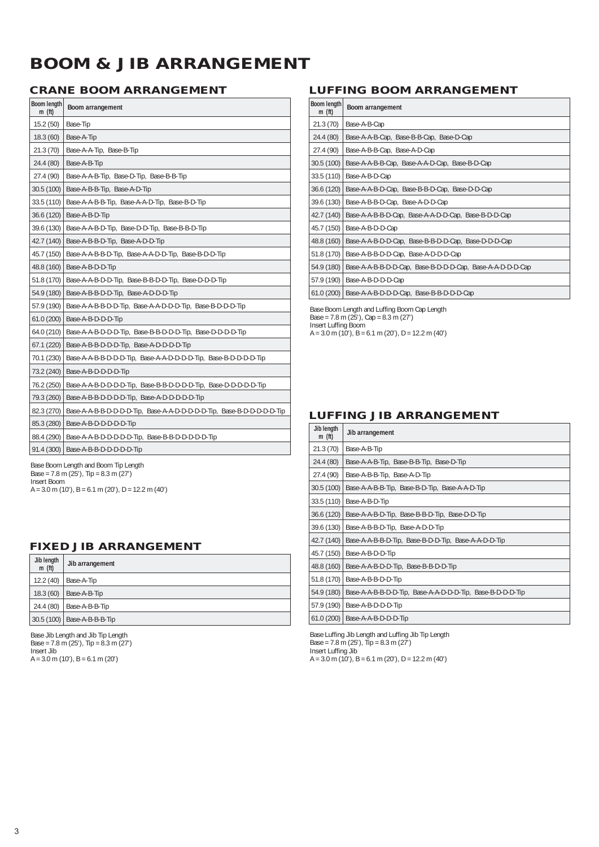## **BOOM & JIB ARRANGEMENT**

| Boom length<br>m(f <sub>t</sub> ) | Boom arrangement                                                       |
|-----------------------------------|------------------------------------------------------------------------|
| 15.2(50)                          | Base-Tip                                                               |
| 18.3(60)                          | Base-A-Tip                                                             |
| 21.3(70)                          | Base-A-A-Tip, Base-B-Tip                                               |
| 24.4 (80)                         | Base-A-B-Tip                                                           |
| 27.4 (90)                         | Base-A-A-B-Tip, Base-D-Tip, Base-B-B-Tip                               |
| 30.5 (100)                        | Base-A-B-B-Tip, Base-A-D-Tip                                           |
| 33.5 (110)                        | Base-A-A-B-B-Tip, Base-A-A-D-Tip, Base-B-D-Tip                         |
| 36.6 (120)                        | Base-A-B-D-Tip                                                         |
| 39.6 (130)                        | Base-A-A-B-D-Tip, Base-D-D-Tip, Base-B-B-D-Tip                         |
| 42.7 (140)                        | Base-A-B-B-D-Tip, Base-A-D-D-Tip                                       |
| 45.7 (150)                        | Base-A-A-B-B-D-Tip, Base-A-A-D-D-Tip, Base-B-D-D-Tip                   |
| 48.8 (160)                        | Base-A-B-D-D-Tip                                                       |
| 51.8 (170)                        | Base-A-A-B-D-D-Tip, Base-B-B-D-D-Tip, Base-D-D-D-Tip                   |
| 54.9 (180)                        | Base-A-B-B-D-D-Tip, Base-A-D-D-D-Tip                                   |
| 57.9 (190)                        | Base-A-A-B-B-D-D-Tip, Base-A-A-D-D-D-Tip, Base-B-D-D-D-Tip             |
| 61.0(200)                         | Base-A-B-D-D-D-Tip                                                     |
| 64.0(210)                         | Base-A-A-B-D-D-D-Tip, Base-B-B-D-D-D-Tip, Base-D-D-D-D-Tip             |
| 67.1 (220)                        | Base-A-B-B-D-D-D-Tip, Base-A-D-D-D-D-Tip                               |
| 70.1 (230)                        | Base-A-A-B-B-D-D-D-Tip, Base-A-A-D-D-D-D-Tip, Base-B-D-D-D-D-Tip       |
| 73.2 (240)                        | Base-A-B-D-D-D-D-Tip                                                   |
| 76.2 (250)                        | Base-A-A-B-D-D-D-D-Tip, Base-B-B-D-D-D-D-Tip, Base-D-D-D-D-D-Tip       |
| 79.3 (260)                        | Base-A-B-B-D-D-D-D-Tip, Base-A-D-D-D-D-D-Tip                           |
| 82.3 (270)                        | Base-A-A-B-B-D-D-D-D-Tip, Base-A-A-D-D-D-D-D-Tip, Base-B-D-D-D-D-D-Tip |
| 85.3 (280)                        | Base-A-B-D-D-D-D-D-Tip                                                 |
| 88.4 (290)                        | Base-A-A-B-D-D-D-D-D-Tip, Base-B-B-D-D-D-D-D-Tip                       |
| 91.4(300)                         | Base-A-B-B-D-D-D-D-D-Tip                                               |

Base Boom Length and Boom Tip Length Base = 7.8 m (25'), Tip = 8.3 m (27') Insert Boom A = 3.0 m (10'), B = 6.1 m (20'), D = 12.2 m (40')

### **FIXED JIB ARRANGEMENT**

| Jib length<br>m(f <sub>t</sub> ) | Jib arrangement               |
|----------------------------------|-------------------------------|
| 12.2(40)                         | Base-A-Tip                    |
| 18.3(60)                         | Base-A-B-Tip                  |
| 24.4(80)                         | Base-A-B-B-Tip                |
|                                  | 30.5 (100)   Base-A-B-B-B-Tip |

Base Jib Length and Jib Tip Length  $Base = 7.8 \text{ m} (25')$ , Tip =  $8.3 \text{ m} (27')$ Insert Jib A = 3.0 m (10'), B = 6.1 m (20')

## **CRANE BOOM ARRANGEMENT LUFFING BOOM ARRANGEMENT**

| Boom length<br>m(f <sub>t</sub> ) | Boom arrangement                                           |
|-----------------------------------|------------------------------------------------------------|
| 21.3(70)                          | Base-A-B-Cap                                               |
| 24.4 (80)                         | Base-A-A-B-Cap, Base-B-B-Cap, Base-D-Cap                   |
| 27.4 (90)                         | Base-A-B-B-Cap, Base-A-D-Cap                               |
| 30.5 (100)                        | Base-A-A-B-B-Cap, Base-A-A-D-Cap, Base-B-D-Cap             |
| 33.5 (110)                        | Base-A-B-D-Cap                                             |
| 36.6 (120)                        | Base-A-A-B-D-Cap, Base-B-B-D-Cap, Base-D-D-Cap             |
| 39.6 (130)                        | Base-A-B-B-D-Cap, Base-A-D-D-Cap                           |
| 42.7 (140)                        | Base-A-A-B-B-D-Cap, Base-A-A-D-D-Cap, Base-B-D-D-Cap       |
| 45.7 (150)                        | Base-A-B-D-D-Cap                                           |
| 48.8 (160)                        | Base-A-A-B-D-D-Cap, Base-B-B-D-D-Cap, Base-D-D-D-Cap       |
| 51.8 (170)                        | Base-A-B-B-D-D-Cap, Base-A-D-D-D-Cap                       |
| 54.9 (180)                        | Base-A-A-B-B-D-D-Cap, Base-B-D-D-D-Cap, Base-A-A-D-D-D-Cap |
| 57.9 (190)                        | Base-A-B-D-D-D-Cap                                         |
| 61.0(200)                         | Base-A-A-B-D-D-D-Cap, Base-B-B-D-D-D-Cap                   |

Base Boom Length and Luffing Boom Cap Length Base = 7.8 m (25'), Cap = 8.3 m (27') Insert Luffing Boom A = 3.0 m (10'), B = 6.1 m (20'), D = 12.2 m (40')

### **LUFFING JIB ARRANGEMENT**

| Jib length<br>m(f <sub>t</sub> ) | Jib arrangement                                            |
|----------------------------------|------------------------------------------------------------|
| 21.3 (70)                        | Base-A-B-Tip                                               |
| 24.4 (80)                        | Base-A-A-B-Tip, Base-B-B-Tip, Base-D-Tip                   |
| 27.4 (90)                        | Base-A-B-B-Tip, Base-A-D-Tip                               |
| 30.5(100)                        | Base-A-A-B-B-Tip, Base-B-D-Tip, Base-A-A-D-Tip             |
| 33.5(110)                        | Base-A-B-D-Tip                                             |
| 36.6(120)                        | Base-A-A-B-D-Tip, Base-B-B-D-Tip, Base-D-D-Tip             |
| 39.6 (130)                       | Base-A-B-B-D-Tip, Base-A-D-D-Tip                           |
| 42.7 (140)                       | Base-A-A-B-B-D-Tip, Base-B-D-D-Tip, Base-A-A-D-D-Tip       |
| 45.7 (150)                       | Base-A-B-D-D-Tip                                           |
| 48.8 (160)                       | Base-A-A-B-D-D-Tip, Base-B-B-D-D-Tip                       |
| 51.8 (170)                       | Base-A-B-B-D-D-Tip                                         |
| 54.9 (180)                       | Base-A-A-B-B-D-D-Tip, Base-A-A-D-D-D-Tip, Base-B-D-D-D-Tip |
| 57.9 (190)                       | Base-A-B-D-D-D-Tip                                         |
| 61.0(200)                        | Base-A-A-B-D-D-D-Tip                                       |

Base Luffing Jib Length and Luffing Jib Tip Length Base = 7.8 m (25'), Tip = 8.3 m (27') Insert Luffing Jib A = 3.0 m (10'), B = 6.1 m (20'), D = 12.2 m (40')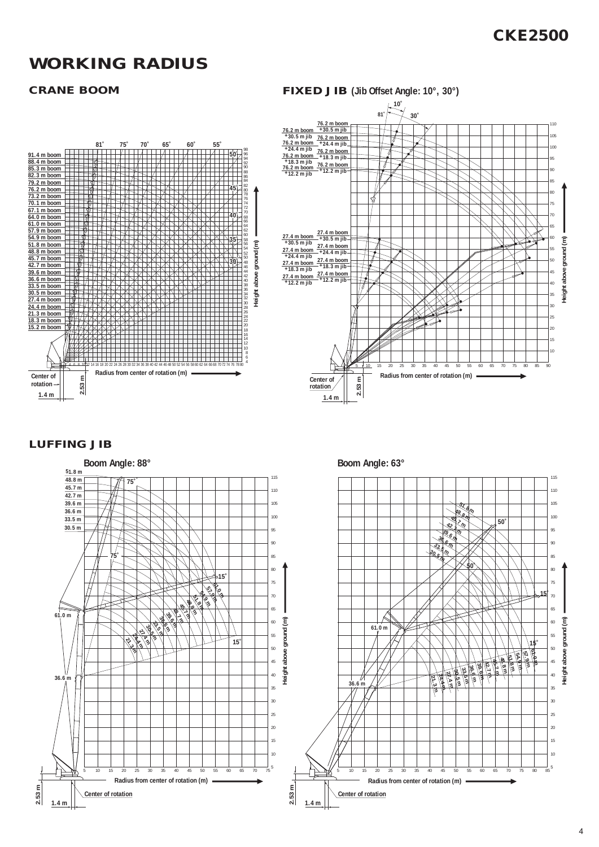## **CKE2500**

## **WORKING RADIUS**

**Radius from center of rotation (m)**

58 56 54 52 50 48 46 44 42 40 38 36 34 32 30 28 26 24 22 20 18 16 14 12 10 8 6 <sup>4</sup> <sup>4</sup> <sup>6</sup> <sup>8</sup> <sup>10</sup> <sup>12</sup> <sup>14</sup> <sup>16</sup> <sup>18</sup> <sup>20</sup> <sup>22</sup> <sup>24</sup> <sup>26</sup> <sup>28</sup> <sup>30</sup> <sup>32</sup> <sup>34</sup> <sup>36</sup> <sup>38</sup> <sup>40</sup> <sup>42</sup> <sup>44</sup> <sup>46</sup> <sup>48</sup> <sup>50</sup> <sup>52</sup> <sup>54</sup> <sup>56</sup> <sup>58</sup> <sup>60</sup> <sup>62</sup> <sup>64</sup> <sup>66</sup> <sup>68</sup> <sup>70</sup> <sup>72</sup> <sup>74</sup> <sup>76</sup> <sup>78</sup> <sup>80</sup>

**81˚ 75˚ 70˚ 65˚ 60˚ 55˚**

### **CRANE BOOM FIXED JIB (Jib Offset Angle: 10°, 30°) 10˚**  $81^{1}$   $\times$  30 **76.2 m boom +30.5 m jib** 110 **76.2 m boom +30.5 m jib** 105 **76.2 m boom +24.4 m jib 76.2 m boom +24.4 m jib** 100 **76.2 m boom +18.3 m jib 76.2 m boom 76.2 m boom +18.3 m jib** 95 **76.2 m boom +12.2 m jib +12.2 m jib** 90 85 80 75 70 65 **27.4 m boom +30.5 m jib 27.4 m boom +24.4 m jib 27.4 m boom +18.3 m jib 27.4 m boom 27.4 m boom +30.5 m jib 27.4 m boom +24.4 m jib 27.4 m boom +18.3 m jib** 60 Height above ground (m) **Height above ground (m)** 55 50 45 **27.4 m boom +12.2 m jib +12.2 m jib** 40 35 30 25 20 15 10 5 10 15 20 25 30 35 40 45 50 55 60 65 70 75 80 85 90 **Radius from center of rotation (m) 2.53 m Center of rotation 1.4 m**

### **LUFFING JIB**

**2.53 m**

**Center of rotation 1.4 m**

**91.4 m boom 88.4 m boom 85.3 m boom 82.3 m boom 79.2 m boom 76.2 m boom 73.2 m boom**

**70.1 m boom**

 $\begin{array}{l} 67.1~\text{m}~\text{boom} \\ 64.0~\text{m}~\text{boom} \\ 64.0~\text{m}~\text{boom} \\ \hline 57.9~\text{m}~\text{boom} \\ \hline 57.9~\text{m}~\text{boom} \\ \hline 48.8~\text{m}~\text{boom} \\ \hline 48.2~\text{m}~\text{boom} \\ \hline 42.7~\text{m}~\text{boom} \\ \hline 39.6~\text{m}~\text{boom} \\ \hline 33.5~\text{m}~\text{boom} \\ \hline 33.5~\text{$ 



**Height above ground (m)**

**50˚**

**45˚**

**40˚**

**35˚**

**30˚**

886882802874727068664260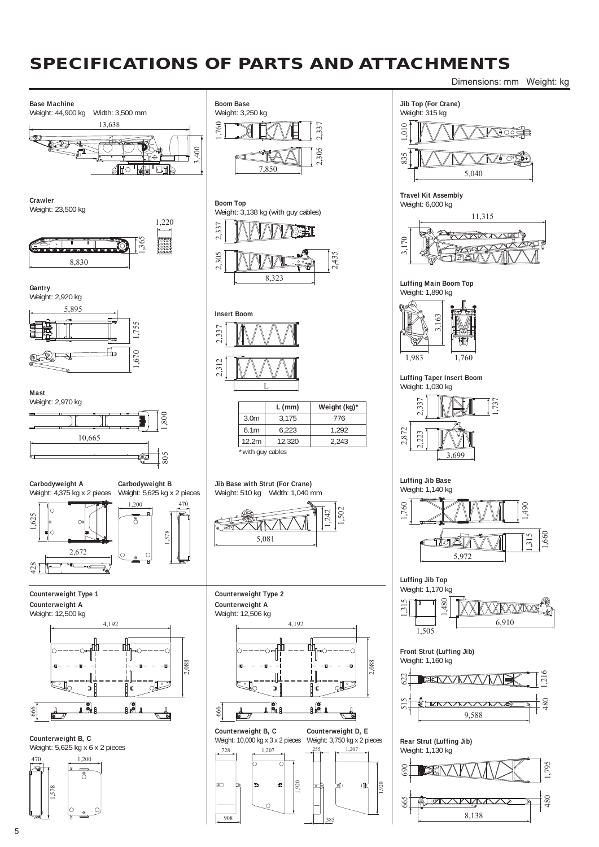## **SPECIFICATIONS OF PARTS AND ATTACHMENTS**

Dimensions: mm Weight: kg

1,490

1,660 1,315

 $\overline{21}$ 

 $~\stackrel{+}{\phantom{}_{\sim}}\, \stackrel{+}{\phantom{}_{\sim}}\,$ 

1,795

480



908

385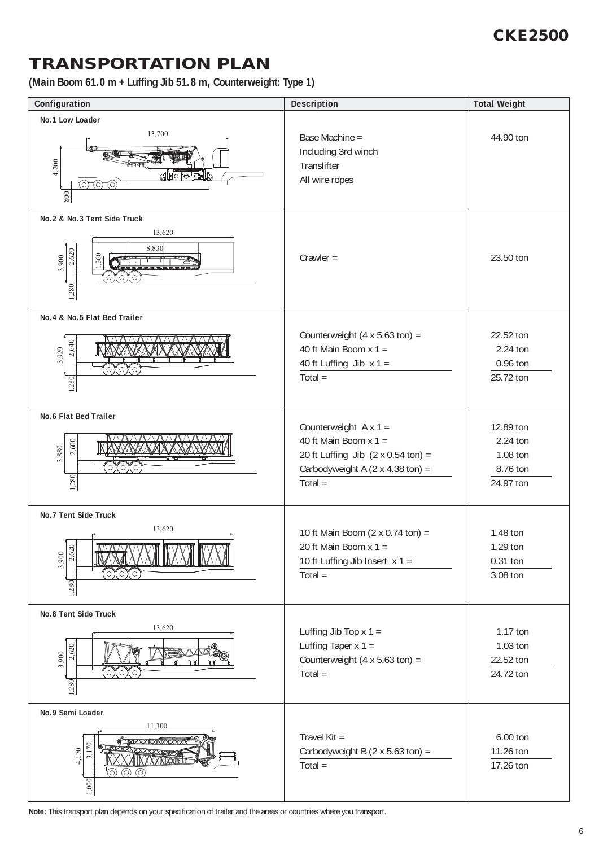## **CKE2500**

## **TRANSPORTATION PLAN**

**(Main Boom 61.0 m + Luffing Jib 51.8 m, Counterweight: Type 1)**

| Configuration                                                                                                                                           | <b>Description</b>                                                                                                                                                           | <b>Total Weight</b>                                        |
|---------------------------------------------------------------------------------------------------------------------------------------------------------|------------------------------------------------------------------------------------------------------------------------------------------------------------------------------|------------------------------------------------------------|
| No.1 Low Loader<br>13,700<br>4,200<br><u>droom</u><br>07070<br>800                                                                                      | Base Machine =<br>Including 3rd winch<br>Translifter<br>All wire ropes                                                                                                       | 44.90 ton                                                  |
| No.2 & No.3 Tent Side Truck<br>13,620<br>8,830<br>2,620<br>1,360<br>3,900<br>⊙)(○) (○<br>1,280                                                          | $Crawler =$                                                                                                                                                                  | 23.50 ton                                                  |
| No.4 & No.5 Flat Bed Trailer<br>2,640<br>3,920<br>$\circ$<br>О<br>О<br>1,280                                                                            | Counterweight $(4 \times 5.63 \text{ ton}) =$<br>40 ft Main Boom $x 1 =$<br>40 ft Luffing Jib $x 1 =$<br>$Total =$                                                           | 22.52 ton<br>2.24 ton<br>0.96 ton<br>25.72 ton             |
| <b>No.6 Flat Bed Trailer</b><br>2,600<br>3,880<br>Ó<br>$\circ$<br>C<br>1,280                                                                            | Counterweight $A \times 1 =$<br>40 ft Main Boom $x 1 =$<br>20 ft Luffing Jib $(2 \times 0.54 \text{ ton}) =$<br>Carbodyweight A $(2 \times 4.38 \text{ ton}) =$<br>$Total =$ | 12.89 ton<br>2.24 ton<br>1.08 ton<br>8.76 ton<br>24.97 ton |
| <b>No.7 Tent Side Truck</b><br>13,620<br><del>A A B B A A A B</del> B B A A B<br>$\overline{\mathbb{R}}$<br>$\frac{3,900}{2,620}$<br>(○)(○)(○)<br>1,280 | 10 ft Main Boom $(2 \times 0.74 \text{ ton}) =$<br>20 ft Main Boom $x 1 =$<br>10 ft Luffing Jib Insert $x 1 =$<br>$Total =$                                                  | 1.48 ton<br>1.29 ton<br>0.31 ton<br>3.08 ton               |
| No.8 Tent Side Truck<br>13,620<br>2,620<br><b>REED !!</b><br>3,900<br>$\rm ^{\circ} \circ$<br>(○)(○)<br>1,280                                           | Luffing Jib Top $x 1 =$<br>Luffing Taper $x 1 =$<br>Counterweight $(4 \times 5.63 \text{ ton}) =$<br>$Total =$                                                               | 1.17 ton<br>1.03 ton<br>22.52 ton<br>24.72 ton             |
| No.9 Semi Loader<br>11,300<br><b>xixxxrxxxxxxxxxxxx</b><br>$\frac{170}{ }$<br>4,170<br><b>XKIXXIT</b><br>0-0-0<br>1,000                                 | Travel Kit =<br>Carbodyweight B $(2 \times 5.63 \text{ ton}) =$<br>$Total =$                                                                                                 | 6.00 ton<br>11.26 ton<br>17.26 ton                         |

**Note:** This transport plan depends on your specification of trailer and the areas or countries where you transport.